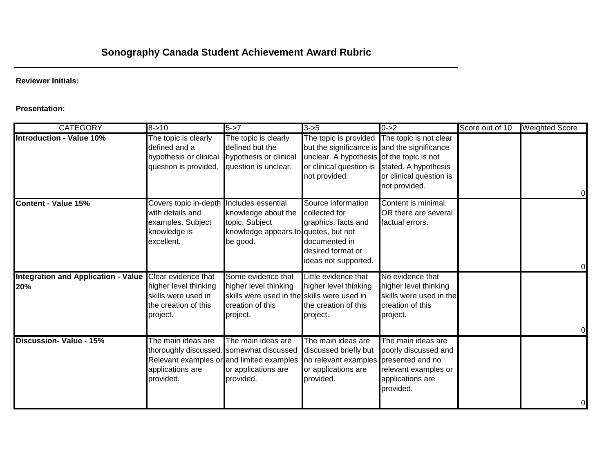## **Reviewer Initials:**

## **Presentation:**

| <b>CATEGORY</b>                                                | $8 - > 10$                                                                                                                                   | $5 - > 7$                                                                                                                  | $3 - 5$                                                                                                                                                                                                    | $0 - 2$                                                                                              | Score out of 10 | <b>Weighted Score</b> |
|----------------------------------------------------------------|----------------------------------------------------------------------------------------------------------------------------------------------|----------------------------------------------------------------------------------------------------------------------------|------------------------------------------------------------------------------------------------------------------------------------------------------------------------------------------------------------|------------------------------------------------------------------------------------------------------|-----------------|-----------------------|
| <b>Introduction - Value 10%</b>                                | The topic is clearly<br>defined and a<br>hypothesis or clinical<br>question is provided.                                                     | The topic is clearly<br>defined but the<br>hypothesis or clinical<br>question is unclear.                                  | The topic is provided The topic is not clear<br>but the significance is and the significance<br>unclear. A hypothesis of the topic is not<br>or clinical question is stated. A hypothesis<br>not provided. | or clinical question is<br>not provided.                                                             |                 |                       |
| Content - Value 15%                                            | Covers topic in-depth<br>with details and<br>examples. Subject<br>knowledge is<br>excellent.                                                 | Includes essential<br>knowledge about the<br>topic. Subject<br>knowledge appears to quotes, but not<br>be good.            | Source information<br>collected for<br>graphics, facts and<br>documented in<br>desired format or<br>ideas not supported.                                                                                   | Content is minimal<br>OR there are several<br>factual errors.                                        |                 | 0                     |
| Integration and Application - Value Clear evidence that<br>20% | higher level thinking<br>skills were used in<br>the creation of this<br>project.                                                             | Some evidence that<br>higher level thinking<br>skills were used in the skills were used in<br>creation of this<br>project. | Little evidence that<br>higher level thinking<br>the creation of this<br>project.                                                                                                                          | No evidence that<br>higher level thinking<br>skills were used in the<br>creation of this<br>project. |                 |                       |
| <b>Discussion- Value - 15%</b>                                 | The main ideas are<br>thoroughly discussed. somewhat discussed<br>Relevant examples or and limited examples<br>applications are<br>provided. | The main ideas are<br>or applications are<br>provided.                                                                     | The main ideas are<br>discussed briefly but<br>no relevant examples presented and no<br>or applications are<br>provided.                                                                                   | The main ideas are<br>poorly discussed and<br>relevant examples or<br>applications are<br>provided.  |                 | 0                     |